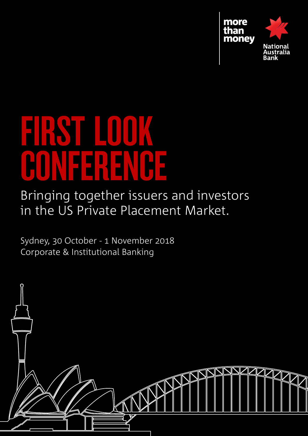

# first look PONEEREN

Bringing together issuers and investors in the US Private Placement Market.

Sydney, 30 October - 1 November 2018 Corporate & Institutional Banking

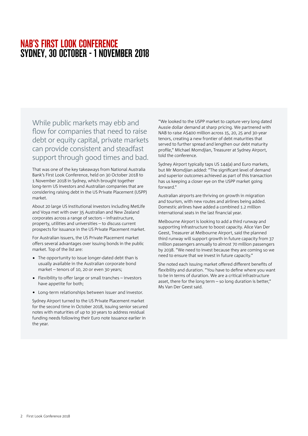## NAB'S First Look conference SYDNEY, 30 october - 1 November 2018

While public markets may ebb and flow for companies that need to raise debt or equity capital, private markets can provide consistent and steadfast support through good times and bad.

That was one of the key takeaways from National Australia Bank's First Look Conference, held on 30 October 2018 to 1 November 2018 in Sydney, which brought together long-term US investors and Australian companies that are considering raising debt in the US Private Placement (USPP) market.

About 20 large US institutional investors including MetLife and Voya met with over 35 Australian and New Zealand corporates across a range of sectors – infrastructure, property, utilities and universities – to discuss current prospects for issuance in the US Private Placement market.

For Australian issuers, the US Private Placement market offers several advantages over issuing bonds in the public market. Top of the list are:

- The opportunity to issue longer-dated debt than is usually available in the Australian corporate bond market – tenors of 10, 20 or even 30 years;
- • Flexibility to offer large or small tranches investors have appetite for both;
- Long-term relationships between issuer and investor.

Sydney Airport turned to the US Private Placement market for the second time in October 2018, issuing senior secured notes with maturities of up to 30 years to address residual funding needs following their Euro note issuance earlier in the year.

"We looked to the USPP market to capture very long dated Aussie dollar demand at sharp pricing. We partnered with NAB to raise A\$400 million across 15, 20, 25 and 30-year tenors, creating a new frontier of debt maturities that served to further spread and lengthen our debt maturity profile," Michael Momdjian, Treasurer at Sydney Airport, told the conference.

Sydney Airport typically taps US 144(a) and Euro markets, but Mr Momdjian added: "The significant level of demand and superior outcomes achieved as part of this transaction has us keeping a closer eye on the USPP market going forward."

Australian airports are thriving on growth in migration and tourism, with new routes and airlines being added. Domestic airlines have added a combined 1.2 million international seats in the last financial year.

Melbourne Airport is looking to add a third runway and supporting infrastructure to boost capacity. Alice Van Der Geest, Treasurer at Melbourne Airport, said the planned third runway will support growth in future capacity from 37 million passengers annually to almost 70 million passengers by 2038. "We need to invest because they are coming so we need to ensure that we invest in future capacity."

She noted each issuing market offered different benefits of flexibility and duration. "You have to define where you want to be in terms of duration. We are a critical infrastructure asset, there for the long term – so long duration is better," Ms Van Der Geest said.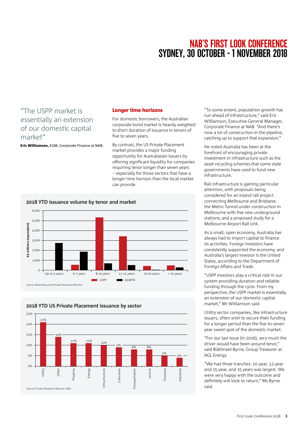## NAB'S First Look conference SYDNEY, 30 october - 1 November 2018

### "The USPP market is essentially an extension of our domestic capital market"

Eric Williamson, EGM, Corporate Finance at NAB.

#### Longer time horizons

For domestic borrowers, the Australian corporate bond market is heavily weighted to short duration of issuance in tenors of five to seven years.

By contrast, the US Private Placement market provides a major funding opportunity for Australasian issuers by offering significant liquidity for companies requiring tenor longer than seven years -- especially for those sectors that have a longer time horizon than the local market can provide.

#### **2018 YTD issuance volume by tenor and market**

**2018 YTD US Private Placement issuance by sector**



25% 21% 20% 15% 14% 11% 11% 10% 9% 8% 8% 10%  $\frac{5\%}{4\%}$   $\frac{4\%}{4\%}$ 5%  $0\%$ Other Energy Utility roperty nfrastructure Leisure Consumer Consumer Transportation Financial Industrial ndustrial Infrastructure Transportation Source: Private Placement Monitor, NAB

"To some extent, population growth has run ahead of infrastructure," said Eric Williamson, Executive General Manager, Corporate Finance at NAB. "And there's now a lot of construction in the pipeline, catching up to support that expansion."

He noted Australia has been at the forefront of encouraging private investment in infrastructure such as the asset recycling schemes that some state governments have used to fund new infrastructure.

Rail infrastructure is gaining particular attention, with proposals being considered for an inland rail project connecting Melbourne and Brisbane; the Metro Tunnel under construction in Melbourne with five new underground stations; and a proposed study for a Melbourne Airport Rail Link.

As a small, open economy, Australia has always had to import capital to finance its activities. Foreign investors have consistently supported the economy, and Australia's largest investor is the United States, according to the Department of Foreign Affairs and Trade.

"USPP investors play a critical role in our system providing duration and reliable funding through the cycle. From my perspective, the USPP market is essentially an extension of our domestic capital market," Mr Williamson said.

Utility sector companies, like infrastructure issuers, often wish to secure their funding for a longer period than the five-to-seven year sweet spot of the domestic market.

"For our last issue (in 2016), very much the driver would have been around tenor," said Bláthnaid Byrne, Group Treasurer at AGL Energy.

"We had three tranches: 10-year, 12-year and 15-year, and 15 years was largest. We were very happy with the outcome and definitely will look to return," Ms Byrne said.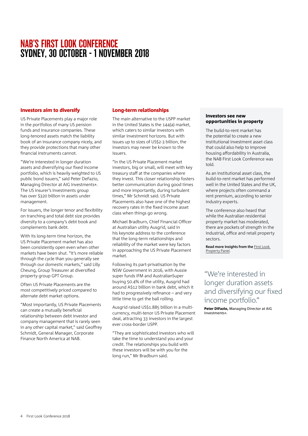## NAB'S First Look conference SYDNEY, 30 october - 1 November 2018

#### Investors aim to diversify

US Private Placements play a major role in the portfolios of many US pension funds and insurance companies. These long-tenored assets match the liability book of an insurance company nicely, and they provide protections that many other financial instruments cannot.

"We're interested in longer duration assets and diversifying our fixed income portfolio, which is heavily weighted to US public bond issuers," said Peter DeFazio, Managing Director at AIG Investments+. The US insurer's Investments group has over \$320 billion in assets under management.

For issuers, the longer tenor and flexibility on tranching and total debt size provides diversity to a company's debt book and complements bank debt.

With its long-term time horizon, the US Private Placement market has also been consistently open even when other markets have been shut. "It's more reliable through the cycle than you generally see through our domestic markets," said Lilly Cheung, Group Treasurer at diversified property group GPT Group.

Often US Private Placements are the most competitively priced compared to alternate debt market options.

"Most importantly, US Private Placements can create a mutually beneficial relationship between debt investor and company management that is rarely seen in any other capital market," said Geoffrey Schmidt, General Manager, Corporate Finance North America at NAB.

#### Long-term relationships

The main alternative to the USPP market in the United States is the 144(a) market, which caters to similar investors with similar investment horizons. But with issues up to sizes of US\$2-3 billion, the investors may never be known to the issuers.

"In the US Private Placement market investors, big or small, will meet with key treasury staff at the companies where they invest. This closer relationship fosters better communication during good times and more importantly, during turbulent times," Mr Schmidt said. US Private Placements also have one of the highest recovery rates in the fixed income asset class when things go wrong.

Michael Bradburn, Chief Financial Officer at Australian utility Ausgrid, said in his keynote address to the conference that the long-term relationships and reliability of the market were key factors in approaching the US Private Placement market.

Following its part-privatisation by the NSW Government in 2016, with Aussie super funds IFM and AustralianSuper buying 50.4% of the utility, Ausgrid had around A\$12 billion in bank debt, which it had to progressively refinance – and very little time to get the ball rolling.

Ausgrid raised US\$1.885 billion in a multicurrency, multi-tenor US Private Placement deal, attracting 33 investors in the largest ever cross-border USPP.

"They are sophisticated investors who will take the time to understand you and your credit. The relationships you build with these investors will be with you for the long run," Mr Bradburn said.

#### Investors see new opportunities in property

The build-to-rent market has the potential to create a new institutional investment asset class that could also help to improve housing affordability in Australia, the NAB First Look Conference was told.

As an institutional asset class, the build-to-rent market has performed well in the United States and the UK, where projects often command a rent premium, according to senior industry experts.

The conference also heard that while the Australian residential property market has moderated, there are pockets of strength in the industrial, office and retail property sectors.

**Read more insights from the** [First Look](https://business.nab.com.au/investors-see-new-opportunities-in-property-32268/)  [Property Panel](https://business.nab.com.au/investors-see-new-opportunities-in-property-32268/).

"We're interested in longer duration assets and diversifying our fixed income portfolio."

Peter DiFazio, Managing Director at AIG Investments+.